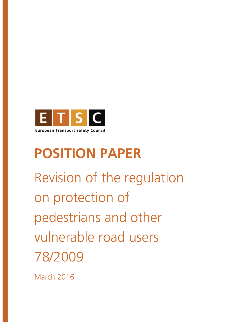

# **POSITION PAPER**

Revision of the regulation on protection of pedestrians and other vulnerable road users 78/2009

March 2016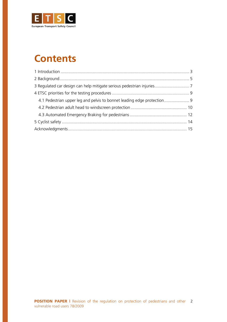

### **Contents**

| 4.1 Pedestrian upper leg and pelvis to bonnet leading edge protection 9 |  |
|-------------------------------------------------------------------------|--|
|                                                                         |  |
|                                                                         |  |
|                                                                         |  |
|                                                                         |  |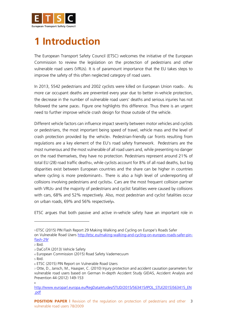

### **1 Introduction**

The European Transport Safety Council (ETSC) welcomes the initiative of the European Commission to review the legislation on the protection of pedestrians and other vulnerable road users (VRUs). It is of paramount importance that the EU takes steps to improve the safety of this often neglected category of road users.

In 2013, 5542 pedestrians and 2002 cyclists were killed on European Union roads1. As more car occupant deaths are prevented every year due to better in-vehicle protection, the decrease in the number of vulnerable road users' deaths and serious injuries has not followed the same pace<sub>2</sub>. Figure one highlights this difference. Thus there is an urgent need to further improve vehicle crash design for those outside of the vehicle.

Different vehicle factors can influence impact severity between motor vehicles and cyclists or pedestrians, the most important being speed of travel, vehicle mass and the level of crash protection provided by the vehicle<sub>3</sub>. Pedestrian-friendly car fronts resulting from regulations are a key element of the EU's road safety framework. Pedestrians are the most numerous and the most vulnerable of all road users and, while presenting no danger on the road themselves, they have no protection. Pedestrians represent around 21% of total EU (28) road traffic deaths4, while cyclists account for 8% of all road deaths, but big disparities exist between European countries and the share can be higher in countries where cycling is more predominants. There is also a high level of underreporting of collisions involving pedestrians and cyclists<sub>6</sub>. Cars are the most frequent collision partner with VRUs<sub>7</sub> and the majority of pedestrians and cyclist fatalities were caused by collisions with cars, 68% and 52% respectively. Also, most pedestrian and cyclist fatalities occur on urban roads, 69% and 56% respectively<sup>8</sup>.

ETSC argues that both passive and active in-vehicle safety have an important role in

 $\overline{a}$ 

<sup>5</sup> Ibid.

8

<sup>1</sup> ETSC (2015) PIN Flash Report 29 Making Walking and Cycling on Europe's Roads Safer

on Vulnerable Road Users [http://etsc.eu/making-walking-and-cycling-on-europes-roads-safer-pin](http://etsc.eu/making-walking-and-cycling-on-europes-roads-safer-pin-flash-29/)[flash-29/](http://etsc.eu/making-walking-and-cycling-on-europes-roads-safer-pin-flash-29/)

<sup>2</sup> Ibid.

<sup>3</sup> DaCoTA (2013) Vehicle Safety

<sup>4</sup> European Commission (2015) Road Safety Vademecuum

<sup>6</sup> ETSC (2015) PIN Report on Vulnerable Road Users

<sup>7</sup> Otte, D., Jansch, M., Haasper, C. (2010) Injury protection and accident causation parameters for vulnerable road users based on German In-depth Accident Study GIDAS, Accident Analysis and Prevention 44 (2012) 149-153

[http://www.europarl.europa.eu/RegData/etudes/STUD/2015/563415/IPOL\\_STU\(2015\)563415\\_EN](http://www.europarl.europa.eu/RegData/etudes/STUD/2015/563415/IPOL_STU(2015)563415_EN.pdf) [.pdf](http://www.europarl.europa.eu/RegData/etudes/STUD/2015/563415/IPOL_STU(2015)563415_EN.pdf)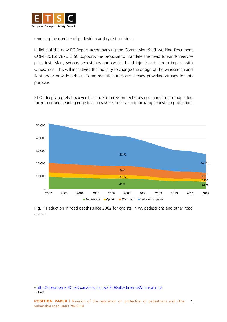

reducing the number of pedestrian and cyclist collisions.

In light of the new EC Report accompanying the Commission Staff working Document COM (2016) 7879, ETSC supports the proposal to mandate the head to windscreen/Apillar test. Many serious pedestrians and cyclists head injuries arise from impact with windscreen. This will incentivise the industry to change the design of the windscreen and A-pillars or provide airbags. Some manufacturers are already providing airbags for this purpose.

ETSC deeply regrets however that the Commission text does not mandate the upper leg form to bonnet leading edge test, a crash test critical to improving pedestrian protection.



**Fig. 1** Reduction in road deaths since 2002 for cyclists, PTW, pedestrians and other road users10.

<sup>9</sup> <http://ec.europa.eu/DocsRoom/documents/20508/attachments/2/translations/> <sup>10</sup> Ibid.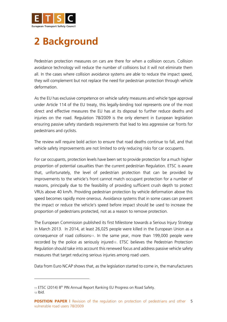

# **2 Background**

Pedestrian protection measures on cars are there for when a collision occurs. Collision avoidance technology will reduce the number of collisions but it will not eliminate them all. In the cases where collision avoidance systems are able to reduce the impact speed, they will complement but not replace the need for pedestrian protection through vehicle deformation.

As the EU has exclusive competence on vehicle safety measures and vehicle type approval under Article 114 of the EU treaty, this legally-binding tool represents one of the most direct and effective measures the EU has at its disposal to further reduce deaths and injuries on the road. Regulation 78/2009 is the only element in European legislation ensuring passive safety standards requirements that lead to less aggressive car fronts for pedestrians and cyclists.

The review will require bold action to ensure that road deaths continue to fall, and that vehicle safety improvements are not limited to only reducing risks for car occupants.

For car occupants, protection levels have been set to provide protection for a much higher proportion of potential casualties than the current pedestrian Regulation. ETSC is aware that, unfortunately, the level of pedestrian protection that can be provided by improvements to the vehicle's front cannot match occupant protection for a number of reasons, principally due to the feasibility of providing sufficient crush depth to protect VRUs above 40 km/h. Providing pedestrian protection by vehicle deformation above this speed becomes rapidly more onerous. Avoidance systems that in some cases can prevent the impact or reduce the vehicle's speed before impact should be used to increase the proportion of pedestrians protected, not as a reason to remove protection.

The European Commission published its first Milestone towards a Serious Injury Strategy in March 2013. In 2014, at least 26,025 people were killed in the European Union as a consequence of road collisions<sup>11</sup>. In the same year, more than 199,000 people were recorded by the police as seriously injured12. ETSC believes the Pedestrian Protection Regulation should take into account this renewed focus and address passive vehicle safety measures that target reducing serious injuries among road users.

Data from Euro NCAP shows that, as the legislation started to come in, the manufacturers

<sup>11</sup> ETSC (2014) 8<sup>th</sup> PIN Annual Report Ranking EU Progress on Road Safety.

<sup>12</sup> Ibid.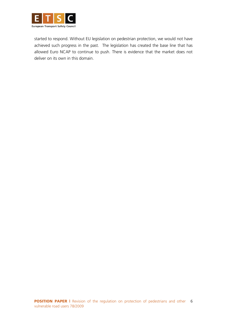

started to respond. Without EU legislation on pedestrian protection, we would not have achieved such progress in the past. The legislation has created the base line that has allowed Euro NCAP to continue to push. There is evidence that the market does not deliver on its own in this domain.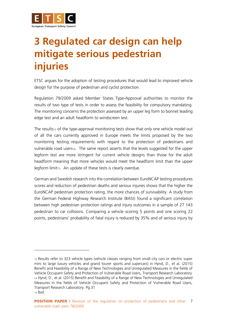

 $\overline{a}$ 

# **3 Regulated car design can help mitigate serious pedestrian injuries**

ETSC argues for the adoption of testing procedures that would lead to improved vehicle design for the purpose of pedestrian and cyclist protection.

Regulation 79/2009 asked Member States Type-Approval authorities to monitor the results of two type of tests in order to assess the feasibility for compulsory mandating. The monitoring concerns the protection assessed by an upper leg form to bonnet leading edge test and an adult headform to windscreen test.

The results<sup>13</sup> of the type-approval monitoring tests show that only one vehicle model out of all the cars currently approved in Europe meets the limits proposed by the two monitoring testing requirements with regard to the protection of pedestrians and vulnerable road users<sup>14</sup>. The same report asserts that the levels suggested for the upper legform test are more stringent for current vehicle designs than those for the adult headform meaning that more vehicles would meet the headform limit than the upper legform limit15. An update of these tests is clearly overdue.

German and Swedish research into the correlation between EuroNCAP testing procedures scores and reduction of pedestrian deaths and serious injuries shows that the higher the EuroNCAP pedestrian protection rating, the more chances of survivability. A study from the German Federal Highway Research Institute (BASt) found a significant correlation between high pedestrian protection ratings and injury outcomes in a sample of 27 143 pedestrian to car collisions. Comparing a vehicle scoring 5 points and one scoring 22 points, pedestrians' probability of fatal injury is reduced by 35% and of serious injury by

<sup>13</sup> Results refer to 323 vehicle types (vehicle classes ranging from small city cars or electric super mini to large luxury vehicles and grand tourer sports and supercars) in Hynd, D., et al. (2015) Benefit and Feasibility of a Range of New Technologies and Unregulated Measures in the fields of Vehicle Occupant Safety and Protection of Vulnerable Road Users, Transport Research Laboratory <sup>14</sup> Hynd, D., et al. (2015) Benefit and Feasibility of a Range of New Technologies and Unregulated Measures in the fields of Vehicle Occupant Safety and Protection of Vulnerable Road Users, Transport Research Laboratory. Pg.31 <sup>15</sup> Ibid.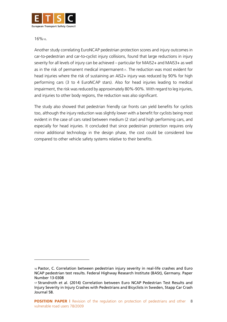

16%16.

 $\overline{a}$ 

Another study correlating EuroNCAP pedestrian protection scores and injury outcomes in car-to-pedestrian and car-to-cyclist injury collisions, found that large reductions in injury severity for all levels of injury can be achieved – particular for MAIS2+ and MAIS3+ as well as in the risk of permanent medical impermanent17. The reduction was most evident for head injuries where the risk of sustaining an AIS2+ injury was reduced by 90% for high performing cars (3 to 4 EuroNCAP stars). Also for head injuries leading to medical impairment, the risk was reduced by approximately 80%-90%. With regard to leg injuries, and injuries to other body regions, the reduction was also significant.

The study also showed that pedestrian friendly car fronts can yield benefits for cyclists too, although the injury reduction was slightly lower with a benefit for cyclists being most evident in the case of cars rated between medium (2 star) and high performing cars, and especially for head injuries. It concluded that since pedestrian protection requires only minor additional technology in the design phase, the cost could be considered low compared to other vehicle safety systems relative to their benefits.

<sup>16</sup> Pastor, C. Correlation between pedestrian injury severity in real-life crashes and Euro NCAP pedestrian test results. Federal Highway Research Institute (BASt), Germany. Paper Number 13-0308

<sup>17</sup> Strandroth et al. (2014) Correlation between Euro NCAP Pedestrian Test Results and Injury Severity in Injury Crashes with Pedestrians and Bicyclists in Sweden, Stapp Car Crash Journal 58.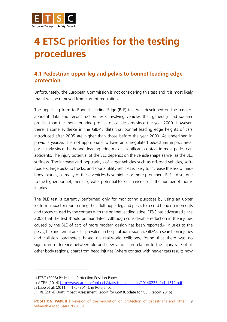

# **4 ETSC priorities for the testing procedures**

### **4.1 Pedestrian upper leg and pelvis to bonnet leading edge protection**

Unfortunately, the European Commission is not considering this test and it is most likely that it will be removed from current regulations.

The upper leg form to Bonnet Leading Edge (BLE) test was developed on the basis of accident data and reconstruction tests involving vehicles that generally had squarer profiles than the more rounded profiles of car designs since the year 2000. However, there is some evidence in the GIDAS data that bonnet leading edge heights of cars introduced after 2005 are higher than those before the year 2000. As underlined in previous years<sub>18</sub>, it is not appropriate to have an unregulated pedestrian impact area, particularly since the bonnet leading edge makes significant contact in most pedestrian accidents. The injury potential of the BLE depends on the vehicle shape as well as the BLE stiffness. The increase and popularity<sup>19</sup> of larger vehicles such as off-road vehicles, softroaders, large pick-up trucks, and sports utility vehicles is likely to increase the risk of midbody injuries, as many of these vehicles have higher or more prominent BLEs. Also, due to the higher bonnet, there is greater potential to see an increase in the number of thorax injuries.

The BLE test is currently performed only for monitoring purposes by using an upper legform impactor representing the adult upper leg and pelvis to record bending moments and forces caused by the contact with the bonnet leading edge. ETSC has advocated since 2008 that the test should be mandated. Although considerable reduction in the injuries caused by the BLE of cars of more modern design has been reported $_{20}$ , injuries to the pelvis, hip and femur are still prevalent in hospital admissions<sub>21</sub>. GIDAS research on injuries and collision parameters based on real-world collisions, found that there was no significant difference between old and new vehicles in relation to the injury rate of all other body regions, apart from head injuries (where contact with newer cars results now

<sup>18</sup> ETSC (2008) Pedestrian Protection Position Paper

<sup>19</sup> ACEA (2014) [http://www.acea.be/uploads/statistic\\_documents/20140225\\_4x4\\_1312.pdf](http://www.acea.be/uploads/statistic_documents/20140225_4x4_1312.pdf) <sup>20</sup> Lube et al. (2011) in TRL (2014), in Reference.

<sup>21</sup> TRL (2014) Draft Impact Assessment Report for GSR (Update for GSR Report 2015)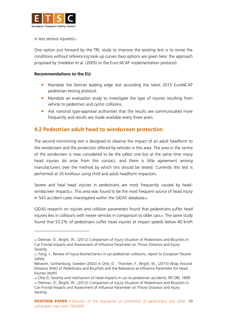

in less serious injuries)<sub>22</sub>.

 $\overline{a}$ 

One option put forward by the TRL study to improve the existing test is to revise the conditions without referencing look-up curves (two options are given here: the approach proposed by Snedeker et al. (2005) or the Euro NCAP implementation protocol).

#### **Recommendations to the EU:**

- Mandate the bonnet leading edge test according the latest 2015 EuroNCAP pedestrian testing protocol.
- Mandate an evaluation study to investigate the type of injuries resulting from vehicle to pedestrian and cyclist collisions.
- Ask national type-approval authorities that the results are communicated more frequently and results are made available every three years.

### **4.2 Pedestrian adult head to windscreen protection**

The second monitoring test is designed to observe the impact of an adult headform to the windscreen and the protection offered by vehicles in this area. The area in the centre of the windscreen is now considered to be the safest one but at the same time many head injuries do arise from this contact, and there is little agreement among manufacturers over the method by which this should be tested. Currently this test is performed at 35 km/hour using child and adult headform impactors.

Severe and fatal head injuries in pedestrians are most frequently caused by headwindscreen impacts<sub>23</sub>. This area was found to be the most frequent source of head injury in 543 accident cases investigated within the GIDAS database24.

GIDAS research on injuries and collision parameters found that pedestrians suffer head injuries less in collisions with newer vehicles in comparison to older cars25. The same study found that 53.2% of pedestrians suffer head injuries at impact speeds below 40 km/h

<sup>22</sup> Dietmar, O., Birgitt, W., (2012) Comparison of Injury Situation of Pedestrians and Bicyclists in Car Frontal Impacts and Assessment of Influence Parameter on Throw Distance and Injury Severity.

<sup>23</sup> Yang, J.: Review of injury biomechanics in car-pedestrian collisions, report to European Passive Safety

Network, Gothenburg, Sweden (2002) in Otte, D. , Thorsten, F., Birgitt, W., (2015) Wrap Around Distance WAD of Pedestrians and Bicyclists and the Relevance as Influence Parameter for Head Injuries (draft)

<sup>24</sup> Otte D, Severity and mechanism of head impacts in car‐to‐pedestrian accidents, IRCOBI, 1999 <sup>25</sup> Dietmar, O., Birgitt, W., (2012) Comparison of Injury Situation of Pedestrians and Bicyclists in Car Frontal Impacts and Assessment of Influence Parameter on Throw Distance and Injury Severity.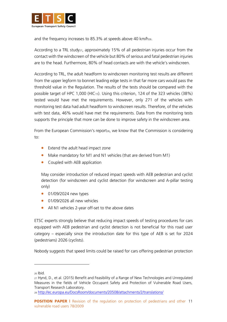

and the frequency increases to 85.3% at speeds above 40 km/h<sub>26</sub>.

According to a TRL study<sub>27</sub>, approximately 15% of all pedestrian injuries occur from the contact with the windscreen of the vehicle but 80% of serious and fatal pedestrian injuries are to the head. Furthermore, 80% of head contacts are with the vehicle's windscreen.

According to TRL, the adult headform to windscreen monitoring test results are different from the upper legform to bonnet leading edge tests in that far more cars would pass the threshold value in the Regulation. The results of the tests should be compared with the possible target of HPC 1,000 (HIC15). Using this criterion, 124 of the 323 vehicles (38%) tested would have met the requirements. However, only 271 of the vehicles with monitoring test data had adult headform to windscreen results. Therefore, of the vehicles with test data, 46% would have met the requirements. Data from the monitoring tests supports the principle that more can be done to improve safety in the windscreen area.

From the European Commission's report<sub>28</sub>, we know that the Commission is considering to:

- Extend the adult head impact zone
- Make mandatory for M1 and N1 vehicles (that are derived from M1)
- Coupled with AEB application

May consider introduction of reduced impact speeds with AEB pedestrian and cyclist detection (for windscreen and cyclist detection (for windscreen and A-pillar testing only)

- 01/09/2024 new types
- 01/09/2026 all new vehicles
- All N1 vehicles 2-year off-set to the above dates

ETSC experts strongly believe that reducing impact speeds of testing procedures for cars equipped with AEB pedestrian and cyclist detection is not beneficial for this road user category – especially since the introduction date for this type of AEB is set for 2024 (pedestrians) 2026 (cyclists).

Nobody suggests that speed limits could be raised for cars offering pedestrian protection

<sup>28</sup> <http://ec.europa.eu/DocsRoom/documents/20508/attachments/2/translations/>

<sup>26</sup> Ibid.

<sup>27</sup> Hynd, D., et al. (2015) Benefit and Feasibility of a Range of New Technologies and Unregulated Measures in the fields of Vehicle Occupant Safety and Protection of Vulnerable Road Users, Transport Research Laboratory.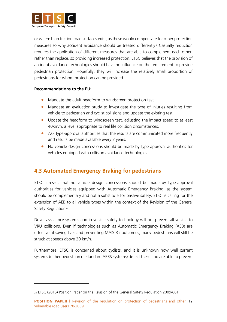

or where high friction road surfaces exist, as these would compensate for other protection measures so why accident avoidance should be treated differently? Casualty reduction requires the application of different measures that are able to complement each other, rather than replace, so providing increased protection. ETSC believes that the provision of accident avoidance technologies should have no influence on the requirement to provide pedestrian protection. Hopefully, they will increase the relatively small proportion of pedestrians for whom protection can be provided.

#### **Recommendations to the EU:**

- Mandate the adult headform to windscreen protection test.
- Mandate an evaluation study to investigate the type of injuries resulting from vehicle to pedestrian and cyclist collisions and update the existing test.
- Update the headform to windscreen test, adjusting the impact speed to at least 40km/h, a level appropriate to real life collision circumstances.
- Ask type-approval authorities that the results are communicated more frequently and results be made available every 3 years.
- No vehicle design concessions should be made by type-approval authorities for vehicles equipped with collision avoidance technologies.

### **4.3 Automated Emergency Braking for pedestrians**

ETSC stresses that no vehicle design concessions should be made by type-approval authorities for vehicles equipped with Automatic Emergency Braking, as the system should be complementary and not a substitute for passive safety. ETSC is calling for the extension of AEB to all vehicle types within the context of the Revision of the General Safety Regulation<sub>29</sub>.

Driver assistance systems and in-vehicle safety technology will not prevent all vehicle to VRU collisions. Even if technologies such as Automatic Emergency Braking (AEB) are effective at saving lives and preventing MAIS 3+ outcomes, many pedestrians will still be struck at speeds above 20 km/h.

Furthermore, ETSC is concerned about cyclists, and it is unknown how well current systems (either pedestrian or standard AEBS systems) detect these and are able to prevent

<sup>29</sup> ETSC (2015) Position Paper on the Revision of the General Safety Regulation 2009/661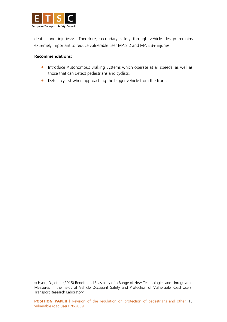

deaths and injuries <sup>30</sup> . Therefore, secondary safety through vehicle design remains extremely important to reduce vulnerable user MAIS 2 and MAIS 3+ injuries.

#### **Recommendations:**

- **•** Introduce Autonomous Braking Systems which operate at all speeds, as well as those that can detect pedestrians and cyclists.
- Detect cyclist when approaching the bigger vehicle from the front.

<sup>30</sup> Hynd, D., et al. (2015) Benefit and Feasibility of a Range of New Technologies and Unregulated Measures in the fields of Vehicle Occupant Safety and Protection of Vulnerable Road Users, Transport Research Laboratory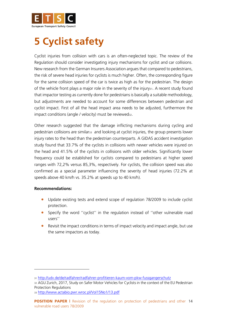

### **5 Cyclist safety**

Cyclist injuries from collision with cars is an often-neglected topic. The review of the Regulation should consider investigating injury mechanisms for cyclist and car collisions. New research from the German Insurers Association argues that compared to pedestrians, the risk of severe head injuries for cyclists is much higher. Often, the corresponding figure for the same collision speed of the car is twice as high as for the pedestrian. The design of the vehicle front plays a major role in the severity of the injury31. A recent study found that impactor testing as currently done for pedestrians is basically a suitable methodology, but adjustments are needed to account for some differences between pedestrian and cyclist impact. First of all the head impact area needs to be adjusted, furthermore the impact conditions (angle / velocity) must be reviewed<sup>32</sup>.

Other research suggested that the damage inflicting mechanisms during cycling and pedestrian collisions are similar33 and looking at cyclist injuries, the group presents lower injury rates to the head than the pedestrian counterparts. A GIDAS accident investigation study found that 33.7% of the cyclists in collisions with newer vehicles were injured on the head and 41.5% of the cyclists in collisions with older vehicles. Significantly lower frequency could be established for cyclists compared to pedestrians at higher speed ranges with 72,2% versus 85,3%, respectively. For cyclists, the collision speed was also confirmed as a special parameter influencing the severity of head injuries (72.2% at speeds above 40 km/h vs. 35.2% at speeds up to 40 km/h).

#### **Recommendations:**

- Update existing tests and extend scope of regulation 78/2009 to include cyclist protection.
- Specify the word ''cyclist'' in the regulation instead of ''other vulnerable road users''
- Revisit the impact conditions in terms of impact velocity and impact angle, but use the same impactors as today.

<sup>31</sup> <http://udv.de/de/radfahrer/radfahrer-profitieren-kaum-vom-pkw-fussgangerschutz>

<sup>32</sup> AGU Zurich, 2017, Study on Safer Motor Vehicles for Cyclists in the context of the EU Pedestrian Protection Regulations

<sup>33</sup> <http://www.actabio.pwr.wroc.pl/Vol15No1/13.pdf>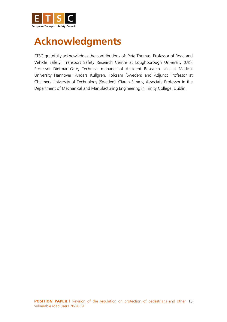

# **Acknowledgments**

ETSC gratefully acknowledges the contributions of: Pete Thomas, Professor of Road and Vehicle Safety, Transport Safety Research Centre at Loughborough University (UK); Professor Dietmar Otte, Technical manager of Accident Research Unit at Medical University Hannover; Anders Kullgren, Folksam (Sweden) and Adjunct Professor at Chalmers University of Technology (Sweden); Ciaran Simms, Associate Professor in the Department of Mechanical and Manufacturing Engineering in Trinity College, Dublin.